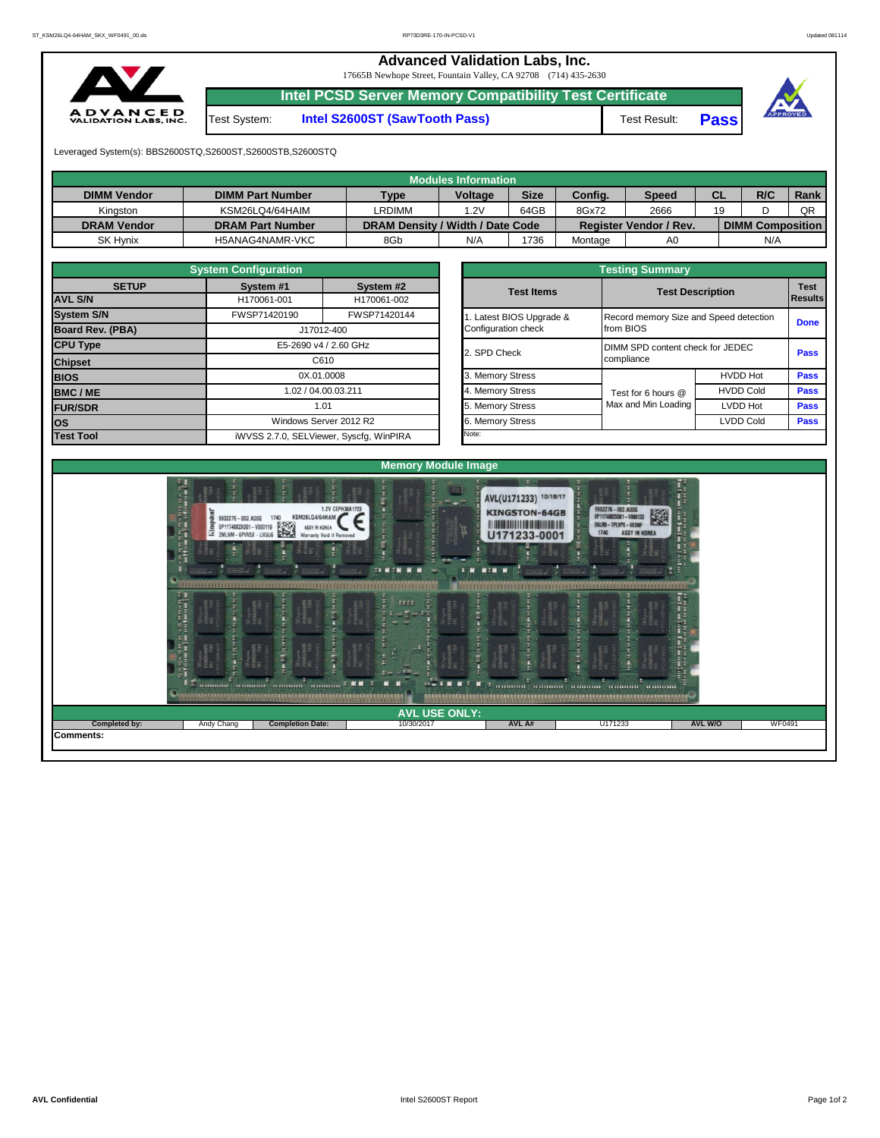## **Advanced Validation Labs, Inc.**  17665B Newhope Street, Fountain Valley, CA 92708 (714) 435-2630 **Intel PCSD Server Memory Compatibility Test Certificate A D V A N C E D**<br>VALIDATION LABS, INC. Test System: **Intel S2600ST (SawTooth Pass)** Test Result: **Pass** Leveraged System(s): BBS2600STQ,S2600ST,S2600STB,S2600STQ **Modules Information DIMM Vendor DIMM Part Number Type Voltage Size**

| <b>DIMM Vendor</b> | <b>DIMM Part Number</b> | Type                             | <b>Voltage</b> | <b>Size</b> | Config. | <b>Speed</b>           | СL | R/C                     | Rank |
|--------------------|-------------------------|----------------------------------|----------------|-------------|---------|------------------------|----|-------------------------|------|
| Kinaston           | KSM26LQ4/64HAIM         | <b>RDIMM</b>                     | .2V            | 64GB        | 8Gx72   | 2666                   | 19 |                         | QR   |
| <b>DRAM Vendor</b> | <b>DRAM Part Number</b> | DRAM Density / Width / Date Code |                |             |         | Register Vendor / Rev. |    | <b>DIMM Composition</b> |      |
| <b>SK Hynix</b>    | H5ANAG4NAMR-VKC         | 8Gb                              | N/A            | 1736        | Montage | A <sub>0</sub>         |    | N/A                     |      |
|                    |                         |                                  |                |             |         |                        |    |                         |      |

|                                                                    | <b>System Configuration</b>  |                                         |                       | <b>Testing Summary</b>                 |                         |             |  |  |
|--------------------------------------------------------------------|------------------------------|-----------------------------------------|-----------------------|----------------------------------------|-------------------------|-------------|--|--|
| <b>SETUP</b>                                                       | System #1                    | System #2                               | <b>Test Items</b>     |                                        |                         | <b>Test</b> |  |  |
| <b>AVL S/N</b>                                                     | H170061-001                  | H170061-002                             |                       |                                        | <b>Test Description</b> |             |  |  |
| <b>System S/N</b>                                                  | FWSP71420144<br>FWSP71420190 |                                         | Latest BIOS Upgrade & | Record memory Size and Speed detection | <b>Done</b>             |             |  |  |
| Board Rev. (PBA)                                                   |                              | J17012-400                              | Configuration check   | from BIOS                              |                         |             |  |  |
| <b>CPU Type</b><br>E5-2690 v4 / 2.60 GHz<br>C610<br><b>Chipset</b> |                              |                                         | 2. SPD Check          | DIMM SPD content check for JEDEC       | <b>Pass</b>             |             |  |  |
|                                                                    |                              |                                         |                       | compliance                             |                         |             |  |  |
| <b>BIOS</b>                                                        | 0X.01.0008                   |                                         | 3. Memory Stress      |                                        | <b>HVDD Hot</b>         | <b>Pass</b> |  |  |
| <b>BMC/ME</b>                                                      |                              | 1.02 / 04.00.03.211                     | 4. Memory Stress      | Test for 6 hours @                     | <b>HVDD Cold</b>        | <b>Pass</b> |  |  |
| <b>FUR/SDR</b>                                                     |                              | 1.01                                    | 5. Memory Stress      | Max and Min Loading                    | LVDD Hot                | <b>Pass</b> |  |  |
| los.                                                               | Windows Server 2012 R2       |                                         | 6. Memory Stress      |                                        | <b>LVDD Cold</b>        | <b>Pass</b> |  |  |
| <b>Test Tool</b>                                                   |                              | iWVSS 2.7.0, SELViewer, Syscfq, WinPIRA | Note:                 |                                        |                         |             |  |  |